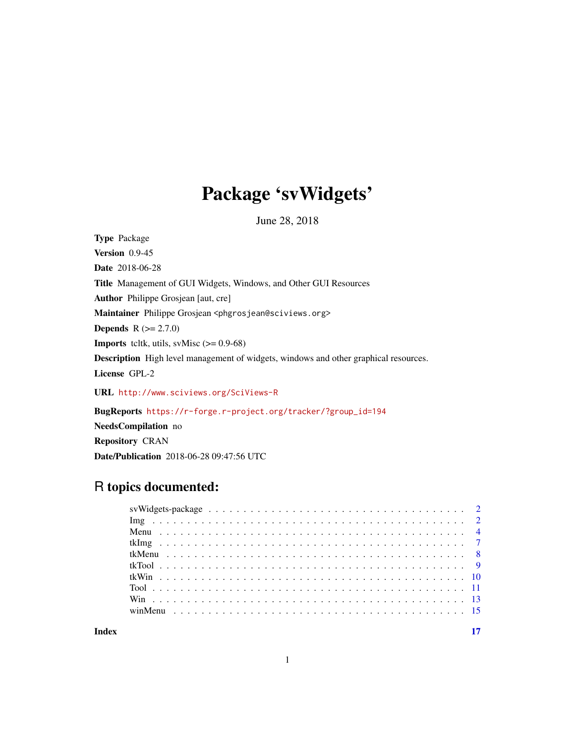# Package 'svWidgets'

June 28, 2018

Type Package Version 0.9-45 Date 2018-06-28 Title Management of GUI Widgets, Windows, and Other GUI Resources Author Philippe Grosjean [aut, cre] Maintainer Philippe Grosjean <phgrosjean@sciviews.org> **Depends**  $R (= 2.7.0)$ **Imports** tcltk, utils, svMisc  $(>= 0.9-68)$ Description High level management of widgets, windows and other graphical resources. License GPL-2 URL <http://www.sciviews.org/SciViews-R>

BugReports [https://r-forge.r-project.org/tracker/?group\\_id=194](https://r-forge.r-project.org/tracker/?group_id=194) NeedsCompilation no Repository CRAN

Date/Publication 2018-06-28 09:47:56 UTC

# R topics documented:

**Index** [17](#page-16-0)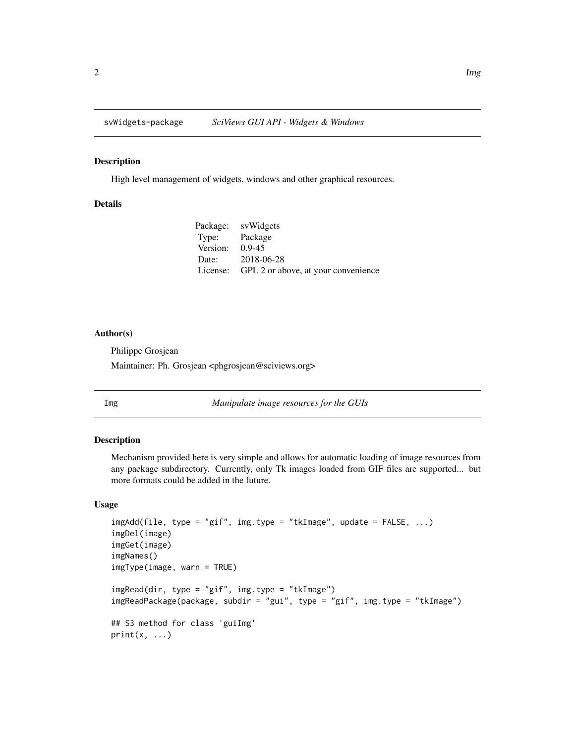<span id="page-1-0"></span>

# Description

High level management of widgets, windows and other graphical resources.

# Details

| Package: svWidgets                           |
|----------------------------------------------|
| Type: Package                                |
| Version: $0.9-45$                            |
| Date: 2018-06-28                             |
| License: GPL 2 or above, at your convenience |
|                                              |

#### Author(s)

Philippe Grosjean Maintainer: Ph. Grosjean <phgrosjean@sciviews.org>

Img *Manipulate image resources for the GUIs*

# <span id="page-1-1"></span>Description

Mechanism provided here is very simple and allows for automatic loading of image resources from any package subdirectory. Currently, only Tk images loaded from GIF files are supported... but more formats could be added in the future.

# Usage

```
imgAdd(file, type = "gif", img.type = "tkImage", update = FALSE, ...)
imgDel(image)
imgGet(image)
imgNames()
imgType(image, warn = TRUE)
imgRead(dir, type = "gif", img.type = "tkImage")
imgReadPackage(package, subdir = "gui", type = "gif", img.type = "tkImage")
## S3 method for class 'guiImg'
print(x, \ldots)
```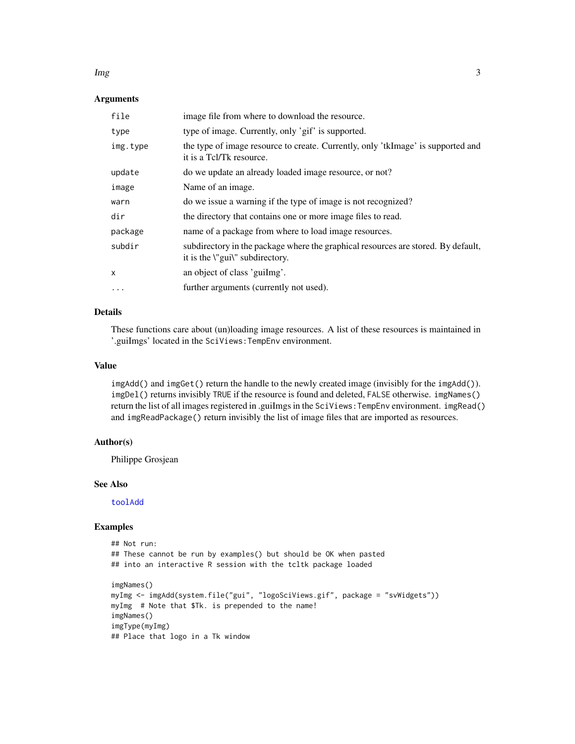#### <span id="page-2-0"></span>Img 3

# Arguments

| file         | image file from where to download the resource.                                                                      |
|--------------|----------------------------------------------------------------------------------------------------------------------|
| type         | type of image. Currently, only 'gif' is supported.                                                                   |
| img.type     | the type of image resource to create. Currently, only 'tkImage' is supported and<br>it is a Tcl/Tk resource.         |
| update       | do we update an already loaded image resource, or not?                                                               |
| image        | Name of an image.                                                                                                    |
| warn         | do we issue a warning if the type of image is not recognized?                                                        |
| dir          | the directory that contains one or more image files to read.                                                         |
| package      | name of a package from where to load image resources.                                                                |
| subdir       | subdirectory in the package where the graphical resources are stored. By default,<br>it is the \"gui\" subdirectory. |
| $\mathsf{x}$ | an object of class 'guiling'.                                                                                        |
| $\cdot$      | further arguments (currently not used).                                                                              |

## Details

These functions care about (un)loading image resources. A list of these resources is maintained in '.guiImgs' located in the SciViews:TempEnv environment.

# Value

imgAdd() and imgGet() return the handle to the newly created image (invisibly for the imgAdd()). imgDel() returns invisibly TRUE if the resource is found and deleted, FALSE otherwise. imgNames() return the list of all images registered in .guiImgs in the SciViews:TempEnv environment. imgRead() and imgReadPackage() return invisibly the list of image files that are imported as resources.

#### Author(s)

Philippe Grosjean

# See Also

[toolAdd](#page-10-1)

# Examples

```
## Not run:
## These cannot be run by examples() but should be OK when pasted
## into an interactive R session with the tcltk package loaded
imgNames()
myImg <- imgAdd(system.file("gui", "logoSciViews.gif", package = "svWidgets"))
myImg # Note that $Tk. is prepended to the name!
imgNames()
imgType(myImg)
## Place that logo in a Tk window
```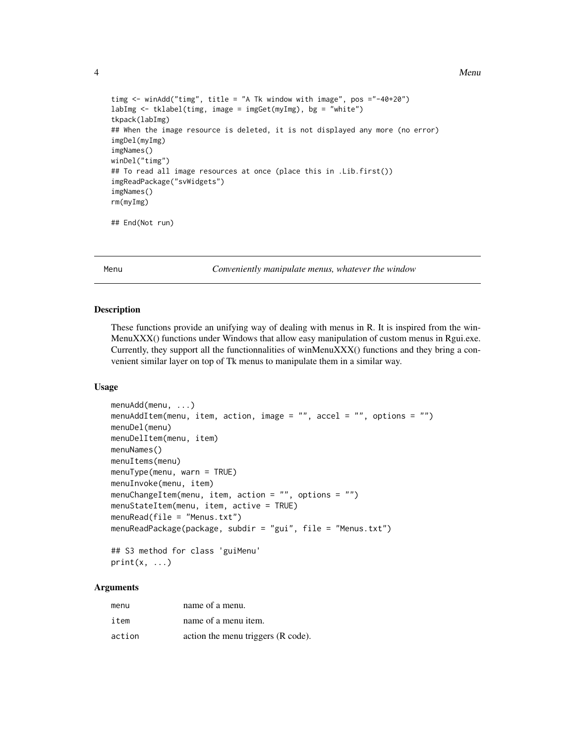# <span id="page-3-0"></span>4 and 2008 and 2009 and 2009 and 2009 and 2009 and 2009 and 2009 and 2009 and 2009 and 2009 and 2009 and 2009 and 2009 and 2009 and 2009 and 2009 and 2009 and 2009 and 2009 and 2009 and 2009 and 2009 and 2009 and 2009 and

```
timg <- winAdd("timg", title = "A Tk window with image", pos ="-40+20")
labImg <- tklabel(timg, image = imgGet(myImg), bg = "white")
tkpack(labImg)
## When the image resource is deleted, it is not displayed any more (no error)
imgDel(myImg)
imgNames()
winDel("timg")
## To read all image resources at once (place this in .Lib.first())
imgReadPackage("svWidgets")
imgNames()
rm(myImg)
## End(Not run)
```
Menu *Conveniently manipulate menus, whatever the window*

#### <span id="page-3-1"></span>Description

These functions provide an unifying way of dealing with menus in R. It is inspired from the win-MenuXXX() functions under Windows that allow easy manipulation of custom menus in Rgui.exe. Currently, they support all the functionnalities of winMenuXXX() functions and they bring a convenient similar layer on top of Tk menus to manipulate them in a similar way.

# Usage

```
menuAdd(menu, ...)
menuAddItem(menu, item, action, image = "", accel = "", options = "")
menuDel(menu)
menuDelItem(menu, item)
menuNames()
menuItems(menu)
menuType(menu, warn = TRUE)
menuInvoke(menu, item)
menuChangeItem(menu, item, action = "", options = "")
menuStateItem(menu, item, active = TRUE)
menuRead(file = "Menus.txt")
menuReadPackage(package, subdir = "gui", file = "Menus.txt")
## S3 method for class 'guiMenu'
```

```
print(x, \ldots)
```
# Arguments

| menu   | name of a menu.                    |
|--------|------------------------------------|
| item   | name of a menu item.               |
| action | action the menu triggers (R code). |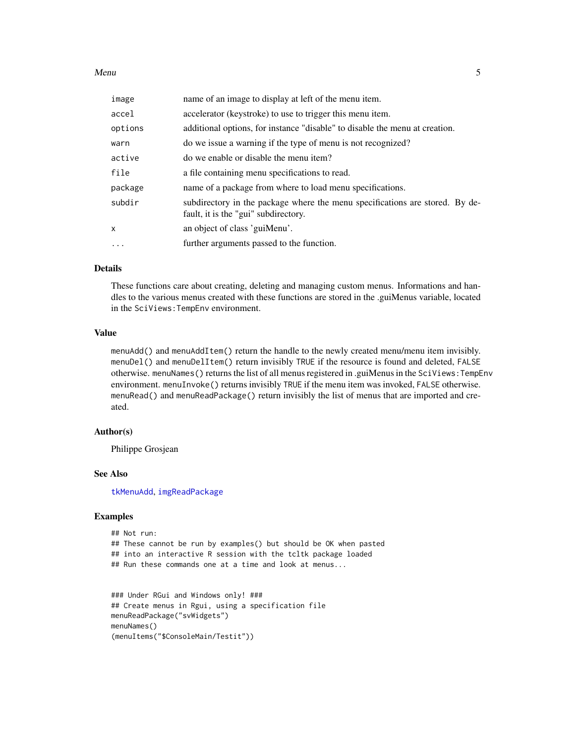#### <span id="page-4-0"></span>Menu 35 S

| image        | name of an image to display at left of the menu item.                                                                |
|--------------|----------------------------------------------------------------------------------------------------------------------|
| accel        | accelerator (keystroke) to use to trigger this menu item.                                                            |
| options      | additional options, for instance "disable" to disable the menu at creation.                                          |
| warn         | do we issue a warning if the type of menu is not recognized?                                                         |
| active       | do we enable or disable the menu item?                                                                               |
| file         | a file containing menu specifications to read.                                                                       |
| package      | name of a package from where to load menu specifications.                                                            |
| subdir       | subdirectory in the package where the menu specifications are stored. By de-<br>fault, it is the "gui" subdirectory. |
| $\mathsf{x}$ | an object of class 'guiMenu'.                                                                                        |
| $\cdots$     | further arguments passed to the function.                                                                            |

# Details

These functions care about creating, deleting and managing custom menus. Informations and handles to the various menus created with these functions are stored in the .guiMenus variable, located in the SciViews:TempEnv environment.

#### Value

menuAdd() and menuAddItem() return the handle to the newly created menu/menu item invisibly. menuDel() and menuDelItem() return invisibly TRUE if the resource is found and deleted, FALSE otherwise. menuNames() returns the list of all menus registered in .guiMenus in the SciViews:TempEnv environment. menuInvoke() returns invisibly TRUE if the menu item was invoked, FALSE otherwise. menuRead() and menuReadPackage() return invisibly the list of menus that are imported and created.

# Author(s)

Philippe Grosjean

#### See Also

[tkMenuAdd](#page-7-1), [imgReadPackage](#page-1-1)

# Examples

```
## Not run:
## These cannot be run by examples() but should be OK when pasted
## into an interactive R session with the tcltk package loaded
## Run these commands one at a time and look at menus...
```

```
### Under RGui and Windows only! ###
## Create menus in Rgui, using a specification file
menuReadPackage("svWidgets")
menuNames()
(menuItems("$ConsoleMain/Testit"))
```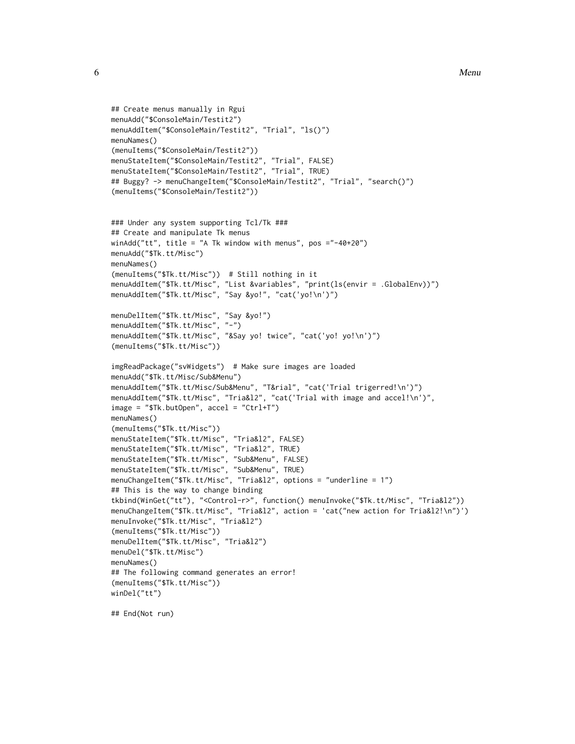```
## Create menus manually in Rgui
menuAdd("$ConsoleMain/Testit2")
menuAddItem("$ConsoleMain/Testit2", "Trial", "ls()")
menuNames()
(menuItems("$ConsoleMain/Testit2"))
menuStateItem("$ConsoleMain/Testit2", "Trial", FALSE)
menuStateItem("$ConsoleMain/Testit2", "Trial", TRUE)
## Buggy? -> menuChangeItem("$ConsoleMain/Testit2", "Trial", "search()")
(menuItems("$ConsoleMain/Testit2"))
```

```
### Under any system supporting Tcl/Tk ###
## Create and manipulate Tk menus
winAdd("tt", title = "A Tk window with menus", pos ="-40+20")
menuAdd("$Tk.tt/Misc")
menuNames()
(menuItems("$Tk.tt/Misc")) # Still nothing in it
menuAddItem("$Tk.tt/Misc", "List &variables", "print(ls(envir = .GlobalEnv))")
menuAddItem("$Tk.tt/Misc", "Say &yo!", "cat('yo!\n')")
menuDelItem("$Tk.tt/Misc", "Say &yo!")
```

```
menuAddItem("$Tk.tt/Misc", "-")
menuAddItem("$Tk.tt/Misc", "&Say yo! twice", "cat('yo! yo!\n')")
(menuItems("$Tk.tt/Misc"))
```

```
imgReadPackage("svWidgets") # Make sure images are loaded
menuAdd("$Tk.tt/Misc/Sub&Menu")
menuAddItem("$Tk.tt/Misc/Sub&Menu", "T&rial", "cat('Trial trigerred!\n')")
menuAddItem("$Tk.tt/Misc", "Tria&l2", "cat('Trial with image and accel!\n')",
image = "$Tk.butOpen", accel = "Ctrl+T")
menuNames()
(menuItems("$Tk.tt/Misc"))
menuStateItem("$Tk.tt/Misc", "Tria&l2", FALSE)
menuStateItem("$Tk.tt/Misc", "Tria&l2", TRUE)
menuStateItem("$Tk.tt/Misc", "Sub&Menu", FALSE)
menuStateItem("$Tk.tt/Misc", "Sub&Menu", TRUE)
menuChangeItem("$Tk.tt/Misc", "Tria&l2", options = "underline = 1")
## This is the way to change binding
tkbind(WinGet("tt"), "<Control-r>", function() menuInvoke("$Tk.tt/Misc", "Tria&l2"))
menuChangeItem("$Tk.tt/Misc", "Tria&l2", action = 'cat("new action for Tria&l2!\n")')
menuInvoke("$Tk.tt/Misc", "Tria&l2")
(menuItems("$Tk.tt/Misc"))
menuDelItem("$Tk.tt/Misc", "Tria&l2")
menuDel("$Tk.tt/Misc")
menuNames()
## The following command generates an error!
(menuItems("$Tk.tt/Misc"))
winDel("tt")
```
## End(Not run)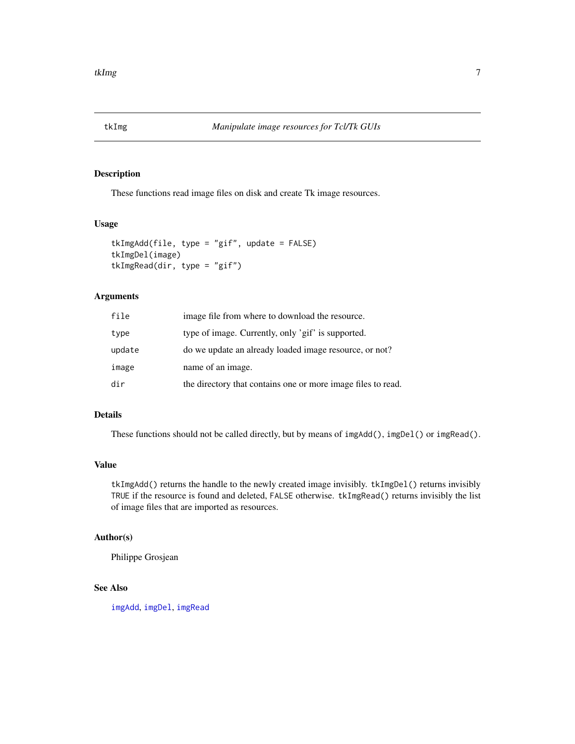<span id="page-6-0"></span>

# Description

These functions read image files on disk and create Tk image resources.

# Usage

```
tkImgAdd(file, type = "gif", update = FALSE)
tkImgDel(image)
tkImgRead(dir, type = "gif")
```
# Arguments

| file   | image file from where to download the resource.              |
|--------|--------------------------------------------------------------|
| type   | type of image. Currently, only 'gif' is supported.           |
| update | do we update an already loaded image resource, or not?       |
| image  | name of an image.                                            |
| dir    | the directory that contains one or more image files to read. |

# Details

These functions should not be called directly, but by means of imgAdd(), imgDel() or imgRead().

# Value

tkImgAdd() returns the handle to the newly created image invisibly. tkImgDel() returns invisibly TRUE if the resource is found and deleted, FALSE otherwise. tkImgRead() returns invisibly the list of image files that are imported as resources.

# Author(s)

Philippe Grosjean

# See Also

[imgAdd](#page-1-1), [imgDel](#page-1-1), [imgRead](#page-1-1)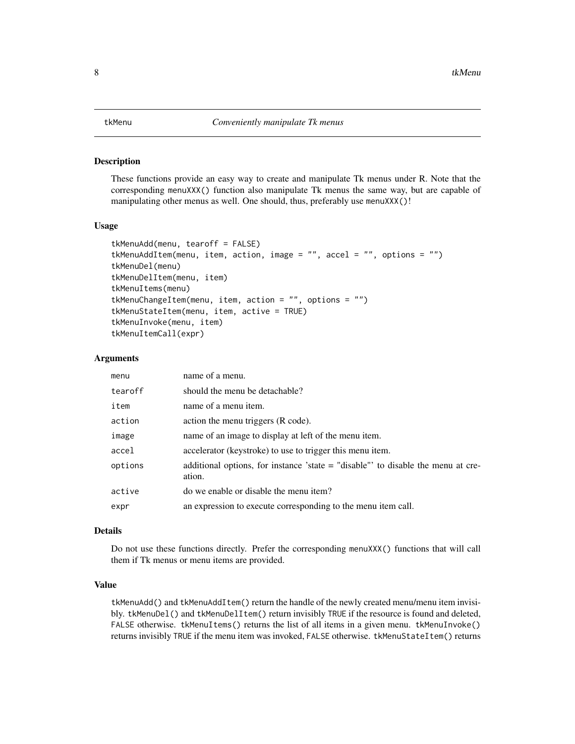#### <span id="page-7-1"></span><span id="page-7-0"></span>**Description**

These functions provide an easy way to create and manipulate Tk menus under R. Note that the corresponding menuXXX() function also manipulate Tk menus the same way, but are capable of manipulating other menus as well. One should, thus, preferably use menuXXX()!

#### Usage

```
tkMenuAdd(menu, tearoff = FALSE)
tkMenuAddItem(menu, item, action, image = "", accel = "", options = "")
tkMenuDel(menu)
tkMenuDelItem(menu, item)
tkMenuItems(menu)
tkMenuChangeItem(menu, item, action = "", options = "")
tkMenuStateItem(menu, item, active = TRUE)
tkMenuInvoke(menu, item)
tkMenuItemCall(expr)
```
#### Arguments

| menu    | name of a menu.                                                                             |
|---------|---------------------------------------------------------------------------------------------|
| tearoff | should the menu be detachable?                                                              |
| item    | name of a menu item.                                                                        |
| action  | action the menu triggers (R code).                                                          |
| image   | name of an image to display at left of the menu item.                                       |
| accel   | accelerator (keystroke) to use to trigger this menu item.                                   |
| options | additional options, for instance 'state $=$ "disable" to disable the menu at cre-<br>ation. |
| active  | do we enable or disable the menu item?                                                      |
| expr    | an expression to execute corresponding to the menu item call.                               |

#### Details

Do not use these functions directly. Prefer the corresponding menuXXX() functions that will call them if Tk menus or menu items are provided.

#### Value

tkMenuAdd() and tkMenuAddItem() return the handle of the newly created menu/menu item invisibly. tkMenuDel() and tkMenuDelItem() return invisibly TRUE if the resource is found and deleted, FALSE otherwise. tkMenuItems() returns the list of all items in a given menu. tkMenuInvoke() returns invisibly TRUE if the menu item was invoked, FALSE otherwise. tkMenuStateItem() returns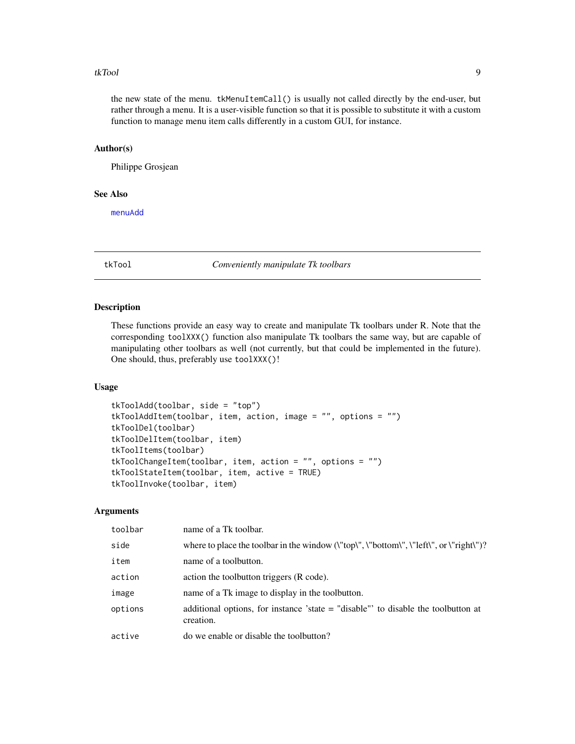#### <span id="page-8-0"></span>tkTool 9

the new state of the menu. tkMenuItemCall() is usually not called directly by the end-user, but rather through a menu. It is a user-visible function so that it is possible to substitute it with a custom function to manage menu item calls differently in a custom GUI, for instance.

### Author(s)

Philippe Grosjean

#### See Also

[menuAdd](#page-3-1)

tkTool *Conveniently manipulate Tk toolbars*

# <span id="page-8-1"></span>Description

These functions provide an easy way to create and manipulate Tk toolbars under R. Note that the corresponding toolXXX() function also manipulate Tk toolbars the same way, but are capable of manipulating other toolbars as well (not currently, but that could be implemented in the future). One should, thus, preferably use toolXXX()!

# Usage

```
tkToolAdd(toolbar, side = "top")
tkToolAddItem(toolbar, item, action, image = "", options = "")
tkToolDel(toolbar)
tkToolDelItem(toolbar, item)
tkToolItems(toolbar)
tkToolChangeItem(toolbar, item, action = "", options = "")
tkToolStateItem(toolbar, item, active = TRUE)
tkToolInvoke(toolbar, item)
```
# Arguments

| toolbar | name of a Tk toolbar.                                                                           |
|---------|-------------------------------------------------------------------------------------------------|
| side    | where to place the toolbar in the window (\"top\", \"bottom\", \"left\", or \"right\")?         |
| item    | name of a toolbutton.                                                                           |
| action  | action the toolbutton triggers (R code).                                                        |
| image   | name of a Tk image to display in the toolbutton.                                                |
| options | additional options, for instance 'state $=$ "disable" to disable the toolbutton at<br>creation. |
| active  | do we enable or disable the toolbutton?                                                         |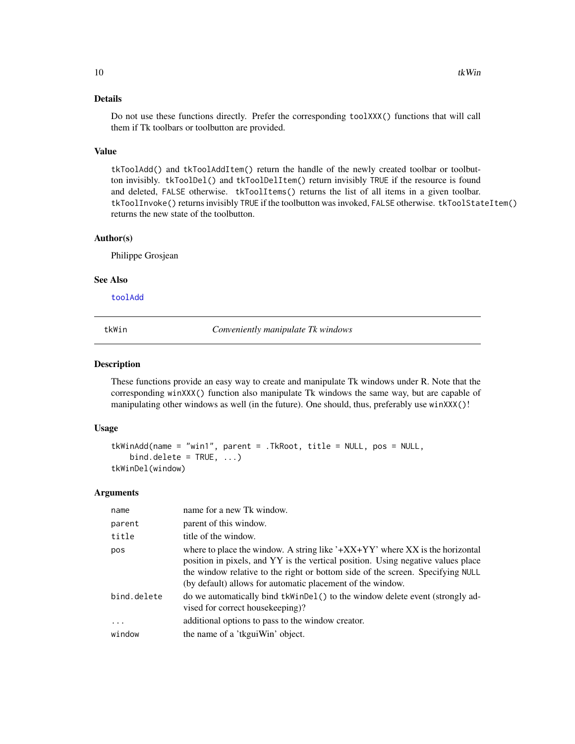# Details

Do not use these functions directly. Prefer the corresponding toolXXX() functions that will call them if Tk toolbars or toolbutton are provided.

#### Value

tkToolAdd() and tkToolAddItem() return the handle of the newly created toolbar or toolbutton invisibly. tkToolDel() and tkToolDelItem() return invisibly TRUE if the resource is found and deleted, FALSE otherwise. tkToolItems() returns the list of all items in a given toolbar. tkToolInvoke() returns invisibly TRUE if the toolbutton was invoked, FALSE otherwise. tkToolStateItem() returns the new state of the toolbutton.

# Author(s)

Philippe Grosjean

#### See Also

[toolAdd](#page-10-1)

tkWin *Conveniently manipulate Tk windows*

## <span id="page-9-1"></span>**Description**

These functions provide an easy way to create and manipulate Tk windows under R. Note that the corresponding winXXX() function also manipulate Tk windows the same way, but are capable of manipulating other windows as well (in the future). One should, thus, preferably use winXXX()!

#### Usage

```
tkWinAdd(name = "win1", parent = .TkRoot, title = NULL, pos = NULL,
   bind.delete = TRUE, ...)
tkWinDel(window)
```
#### **Arguments**

| name        | name for a new Tk window.                                                                                                                                                                                                                                                                                         |
|-------------|-------------------------------------------------------------------------------------------------------------------------------------------------------------------------------------------------------------------------------------------------------------------------------------------------------------------|
| parent      | parent of this window.                                                                                                                                                                                                                                                                                            |
| title       | title of the window.                                                                                                                                                                                                                                                                                              |
| pos         | where to place the window. A string like $4+XX+YY$ where XX is the horizontal<br>position in pixels, and YY is the vertical position. Using negative values place<br>the window relative to the right or bottom side of the screen. Specifying NULL<br>(by default) allows for automatic placement of the window. |
| bind.delete | do we automatically bind tkWinDel() to the window delete event (strongly ad-<br>vised for correct housekeeping)?                                                                                                                                                                                                  |
| $\ddotsc$   | additional options to pass to the window creator.                                                                                                                                                                                                                                                                 |
| window      | the name of a 'tkguiWin' object.                                                                                                                                                                                                                                                                                  |

<span id="page-9-0"></span>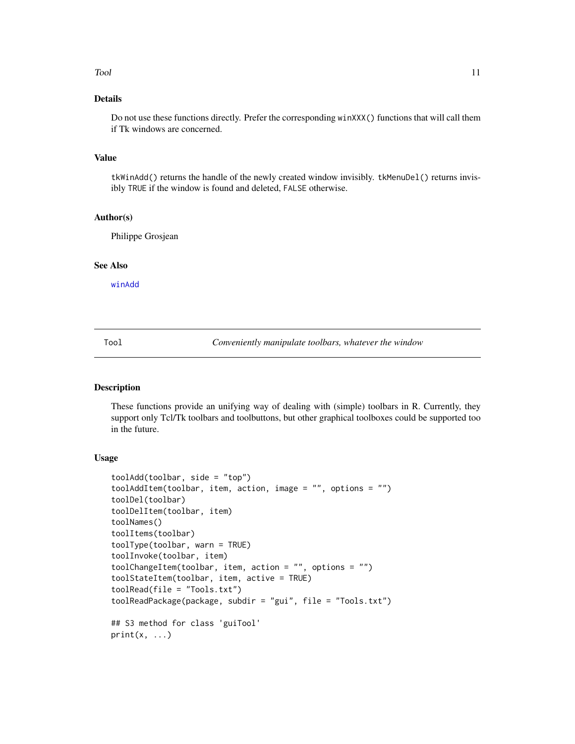#### <span id="page-10-0"></span>Tool and the contract of the contract of the contract of the contract of the contract of the contract of the contract of the contract of the contract of the contract of the contract of the contract of the contract of the c

# Details

Do not use these functions directly. Prefer the corresponding winXXX() functions that will call them if Tk windows are concerned.

# Value

tkWinAdd() returns the handle of the newly created window invisibly. tkMenuDel() returns invisibly TRUE if the window is found and deleted, FALSE otherwise.

#### Author(s)

Philippe Grosjean

#### See Also

[winAdd](#page-12-1)

Tool *Conveniently manipulate toolbars, whatever the window*

# <span id="page-10-1"></span>Description

These functions provide an unifying way of dealing with (simple) toolbars in R. Currently, they support only Tcl/Tk toolbars and toolbuttons, but other graphical toolboxes could be supported too in the future.

#### Usage

```
toolAdd(toolbar, side = "top")
toolAddItem(toolbar, item, action, image = "", options = "")
toolDel(toolbar)
toolDelItem(toolbar, item)
toolNames()
toolItems(toolbar)
toolType(toolbar, warn = TRUE)
toolInvoke(toolbar, item)
toolChangeItem(toolbar, item, action = "", options = "")
toolStateItem(toolbar, item, active = TRUE)
toolRead(file = "Tools.txt")
toolReadPackage(package, subdir = "gui", file = "Tools.txt")
## S3 method for class 'guiTool'
print(x, \ldots)
```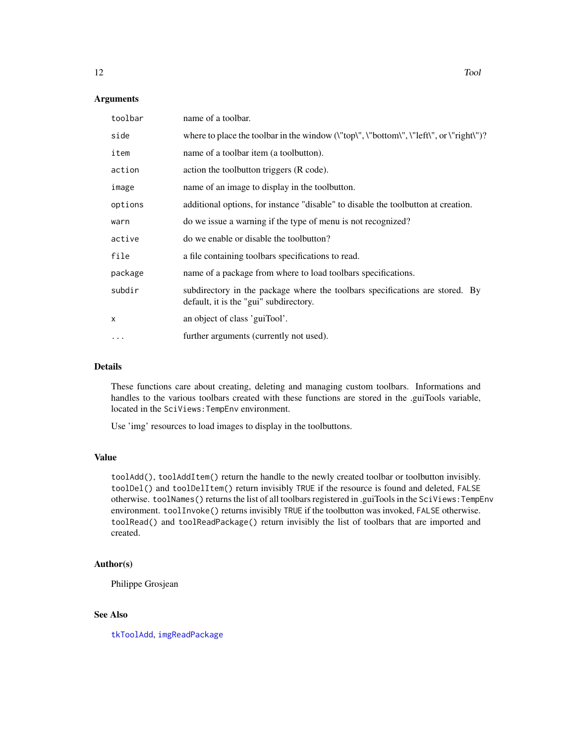#### <span id="page-11-0"></span>Arguments

| toolbar  | name of a toolbar.                                                                                                     |
|----------|------------------------------------------------------------------------------------------------------------------------|
| side     | where to place the toolbar in the window $(\text{``top''}, \text{``bottom''}, \text{``left''}, \text{or ``right''})$ ? |
| item     | name of a toolbar item (a toolbutton).                                                                                 |
| action   | action the toolbutton triggers (R code).                                                                               |
| image    | name of an image to display in the toolbutton.                                                                         |
| options  | additional options, for instance "disable" to disable the toolbutton at creation.                                      |
| warn     | do we issue a warning if the type of menu is not recognized?                                                           |
| active   | do we enable or disable the toolbutton?                                                                                |
| file     | a file containing toolbars specifications to read.                                                                     |
| package  | name of a package from where to load toolbars specifications.                                                          |
| subdir   | subdirectory in the package where the toolbars specifications are stored. By<br>default, it is the "gui" subdirectory. |
| X        | an object of class 'guiTool'.                                                                                          |
| $\cdots$ | further arguments (currently not used).                                                                                |

# Details

These functions care about creating, deleting and managing custom toolbars. Informations and handles to the various toolbars created with these functions are stored in the .guiTools variable, located in the SciViews:TempEnv environment.

Use 'img' resources to load images to display in the toolbuttons.

# Value

toolAdd(), toolAddItem() return the handle to the newly created toolbar or toolbutton invisibly. toolDel() and toolDelItem() return invisibly TRUE if the resource is found and deleted, FALSE otherwise. toolNames() returns the list of all toolbars registered in .guiTools in the SciViews:TempEnv environment. toolInvoke() returns invisibly TRUE if the toolbutton was invoked, FALSE otherwise. toolRead() and toolReadPackage() return invisibly the list of toolbars that are imported and created.

# Author(s)

Philippe Grosjean

# See Also

[tkToolAdd](#page-8-1), [imgReadPackage](#page-1-1)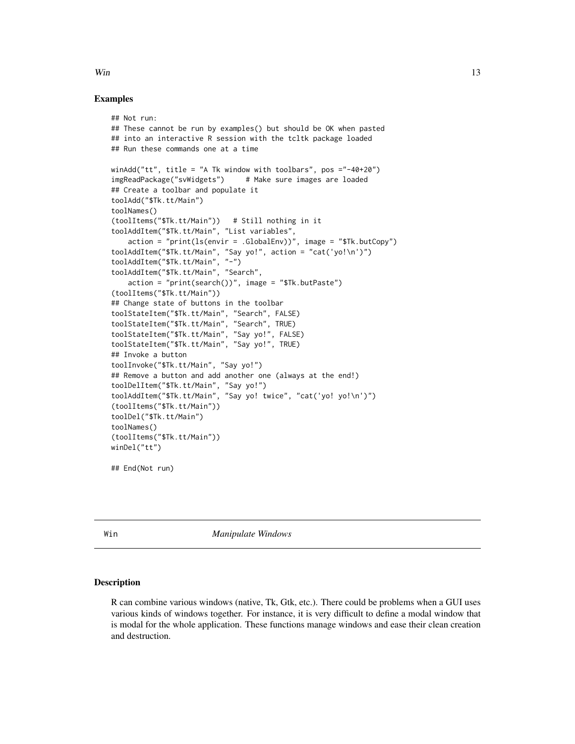#### Examples

```
## Not run:
## These cannot be run by examples() but should be OK when pasted
## into an interactive R session with the tcltk package loaded
## Run these commands one at a time
winAdd("tt", title = "A Tk window with toolbars", pos ="-40+20")
imgReadPackage("svWidgets") # Make sure images are loaded
## Create a toolbar and populate it
toolAdd("$Tk.tt/Main")
toolNames()
(toolItems("$Tk.tt/Main")) # Still nothing in it
toolAddItem("$Tk.tt/Main", "List variables",
    action = "print(ls(envir = .GlobalEnv))", image = "$Tk.butCopy")
toolAddItem("$Tk.tt/Main", "Say yo!", action = "cat('yo!\n')")
toolAddItem("$Tk.tt/Main", "-")
toolAddItem("$Tk.tt/Main", "Search",
    action = "print(search())", image = "$Tk.butPaste")
(toolItems("$Tk.tt/Main"))
## Change state of buttons in the toolbar
toolStateItem("$Tk.tt/Main", "Search", FALSE)
toolStateItem("$Tk.tt/Main", "Search", TRUE)
toolStateItem("$Tk.tt/Main", "Say yo!", FALSE)
toolStateItem("$Tk.tt/Main", "Say yo!", TRUE)
## Invoke a button
toolInvoke("$Tk.tt/Main", "Say yo!")
## Remove a button and add another one (always at the end!)
toolDelItem("$Tk.tt/Main", "Say yo!")
toolAddItem("$Tk.tt/Main", "Say yo! twice", "cat('yo! yo!\n')")
(toolItems("$Tk.tt/Main"))
toolDel("$Tk.tt/Main")
toolNames()
(toolItems("$Tk.tt/Main"))
winDel("tt")
```
## End(Not run)

Win *Manipulate Windows*

# <span id="page-12-1"></span>Description

R can combine various windows (native, Tk, Gtk, etc.). There could be problems when a GUI uses various kinds of windows together. For instance, it is very difficult to define a modal window that is modal for the whole application. These functions manage windows and ease their clean creation and destruction.

<span id="page-12-0"></span> $W$ in  $13$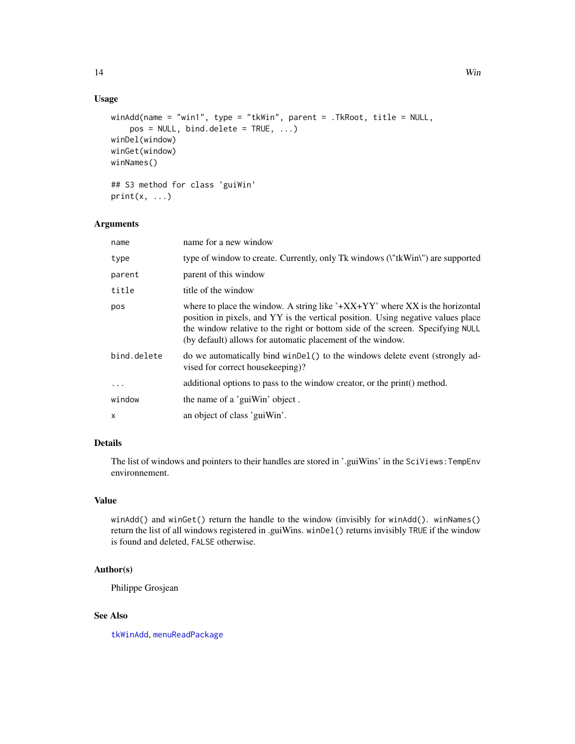# Usage

```
winAdd(name = "win1", type = "tkWin", parent = .TkRoot, title = NULL,
    pos = NULL, bind.delete = TRUE, ...)winDel(window)
winGet(window)
winNames()
## S3 method for class 'guiWin'
print(x, \ldots)
```
# Arguments

| name        | name for a new window                                                                                                                                                                                                                                                                                             |
|-------------|-------------------------------------------------------------------------------------------------------------------------------------------------------------------------------------------------------------------------------------------------------------------------------------------------------------------|
| type        | type of window to create. Currently, only Tk windows (\"tkWin\") are supported                                                                                                                                                                                                                                    |
| parent      | parent of this window                                                                                                                                                                                                                                                                                             |
| title       | title of the window                                                                                                                                                                                                                                                                                               |
| pos         | where to place the window. A string like $4+XX+YY$ where XX is the horizontal<br>position in pixels, and YY is the vertical position. Using negative values place<br>the window relative to the right or bottom side of the screen. Specifying NULL<br>(by default) allows for automatic placement of the window. |
| bind.delete | do we automatically bind winDel() to the windows delete event (strongly ad-<br>vised for correct house keeping)?                                                                                                                                                                                                  |
| $\ddotsc$   | additional options to pass to the window creator, or the print () method.                                                                                                                                                                                                                                         |
| window      | the name of a 'guiWin' object.                                                                                                                                                                                                                                                                                    |
| x           | an object of class 'guiWin'.                                                                                                                                                                                                                                                                                      |

# Details

The list of windows and pointers to their handles are stored in '.guiWins' in the SciViews:TempEnv environnement.

# Value

winAdd() and winGet() return the handle to the window (invisibly for winAdd(). winNames() return the list of all windows registered in .guiWins. winDel() returns invisibly TRUE if the window is found and deleted, FALSE otherwise.

# Author(s)

Philippe Grosjean

# See Also

[tkWinAdd](#page-9-1), [menuReadPackage](#page-3-1)

<span id="page-13-0"></span>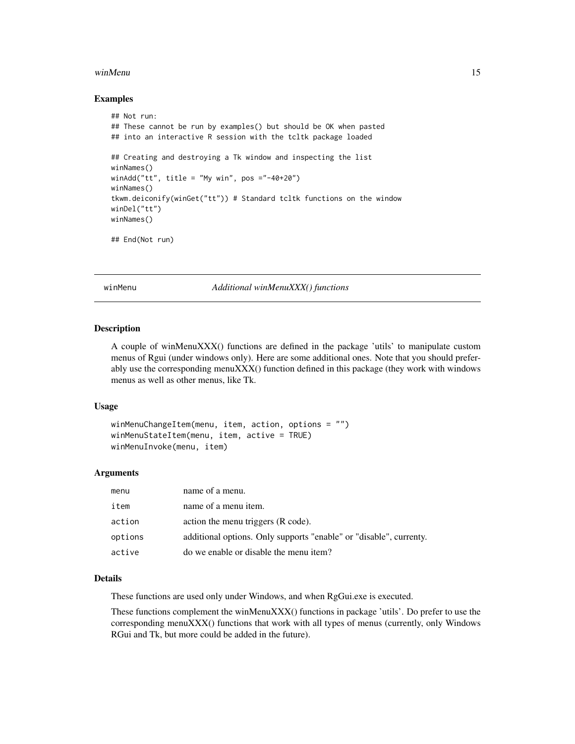#### <span id="page-14-0"></span>winMenu and the state of the state of the state of the state of the state of the state of the state of the state of the state of the state of the state of the state of the state of the state of the state of the state of th

### Examples

```
## Not run:
## These cannot be run by examples() but should be OK when pasted
## into an interactive R session with the tcltk package loaded
## Creating and destroying a Tk window and inspecting the list
winNames()
winAdd("tt", title = "My win", pos ="-40+20")
winNames()
tkwm.deiconify(winGet("tt")) # Standard tcltk functions on the window
winDel("tt")
winNames()
## End(Not run)
```
winMenu *Additional winMenuXXX() functions*

#### Description

A couple of winMenuXXX() functions are defined in the package 'utils' to manipulate custom menus of Rgui (under windows only). Here are some additional ones. Note that you should preferably use the corresponding menuXXX() function defined in this package (they work with windows menus as well as other menus, like Tk.

# Usage

```
winMenuChangeItem(menu, item, action, options = "")
winMenuStateItem(menu, item, active = TRUE)
winMenuInvoke(menu, item)
```
#### Arguments

| menu    | name of a menu.                                                    |
|---------|--------------------------------------------------------------------|
| item    | name of a menu item.                                               |
| action  | action the menu triggers (R code).                                 |
| options | additional options. Only supports "enable" or "disable", currenty. |
| active  | do we enable or disable the menu item?                             |

# Details

These functions are used only under Windows, and when RgGui.exe is executed.

These functions complement the winMenuXXX() functions in package 'utils'. Do prefer to use the corresponding menuXXX() functions that work with all types of menus (currently, only Windows RGui and Tk, but more could be added in the future).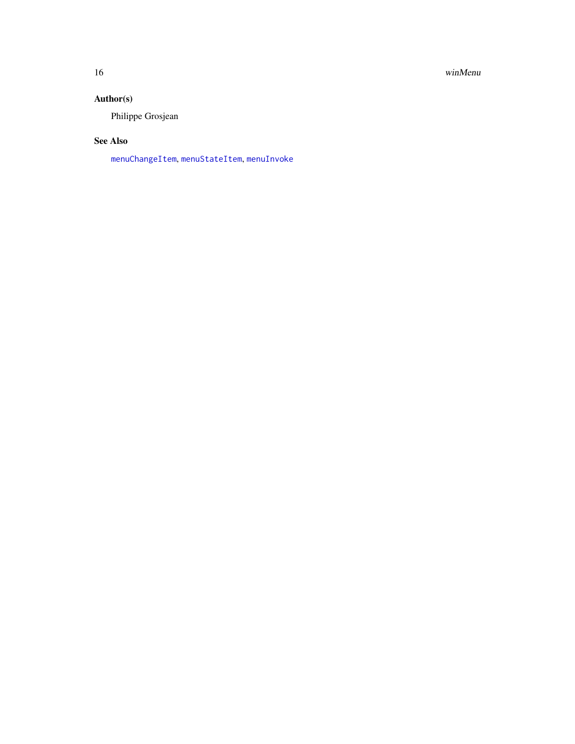<span id="page-15-0"></span>16 winMenu

# Author(s)

Philippe Grosjean

# See Also

[menuChangeItem](#page-3-1), [menuStateItem](#page-3-1), [menuInvoke](#page-3-1)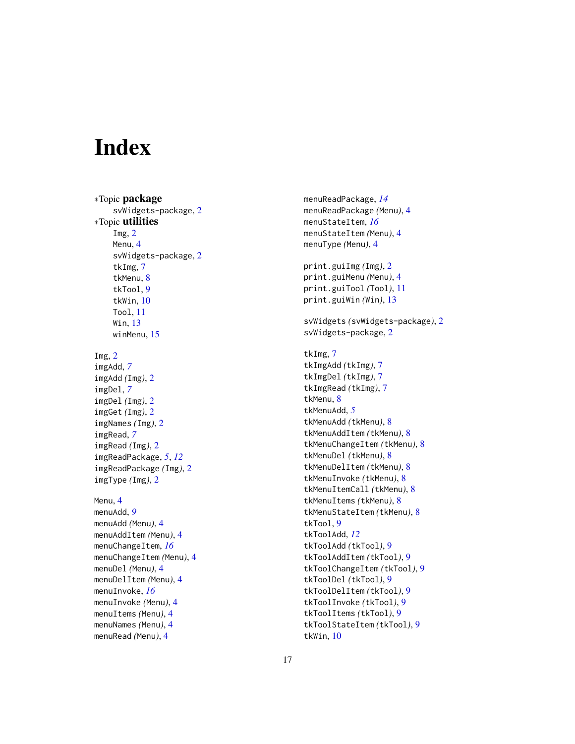# <span id="page-16-0"></span>**Index**

∗Topic package svWidgets-package, [2](#page-1-0) ∗Topic utilities Img, [2](#page-1-0) Menu, [4](#page-3-0) svWidgets-package, [2](#page-1-0) tkImg, [7](#page-6-0) tkMenu, [8](#page-7-0) tkTool, [9](#page-8-0) tkWin, [10](#page-9-0) Tool, [11](#page-10-0) Win, [13](#page-12-0) winMenu, [15](#page-14-0) Img,  $2$ imgAdd, *[7](#page-6-0)* imgAdd *(*Img*)*, [2](#page-1-0) imgDel, *[7](#page-6-0)* imgDel *(*Img*)*, [2](#page-1-0) imgGet *(*Img*)*, [2](#page-1-0) imgNames *(*Img*)*, [2](#page-1-0) imgRead, *[7](#page-6-0)* imgRead *(*Img*)*, [2](#page-1-0) imgReadPackage, *[5](#page-4-0)*, *[12](#page-11-0)* imgReadPackage *(*Img*)*, [2](#page-1-0) imgType *(*Img*)*, [2](#page-1-0) Menu, [4](#page-3-0) menuAdd, *[9](#page-8-0)* menuAdd *(*Menu*)*, [4](#page-3-0) menuAddItem *(*Menu*)*, [4](#page-3-0) menuChangeItem, *[16](#page-15-0)* menuChangeItem *(*Menu*)*, [4](#page-3-0) menuDel *(*Menu*)*, [4](#page-3-0) menuDelItem *(*Menu*)*, [4](#page-3-0) menuInvoke, *[16](#page-15-0)* menuInvoke *(*Menu*)*, [4](#page-3-0) menuItems *(*Menu*)*, [4](#page-3-0) menuNames *(*Menu*)*, [4](#page-3-0) menuRead *(*Menu*)*, [4](#page-3-0)

menuReadPackage, *[14](#page-13-0)* menuReadPackage *(*Menu*)*, [4](#page-3-0) menuStateItem, *[16](#page-15-0)* menuStateItem *(*Menu*)*, [4](#page-3-0) menuType *(*Menu*)*, [4](#page-3-0) print.guiImg *(*Img*)*, [2](#page-1-0) print.guiMenu *(*Menu*)*, [4](#page-3-0) print.guiTool *(*Tool*)*, [11](#page-10-0) print.guiWin *(*Win*)*, [13](#page-12-0) svWidgets *(*svWidgets-package*)*, [2](#page-1-0) svWidgets-package, [2](#page-1-0) tkImg, [7](#page-6-0) tkImgAdd *(*tkImg*)*, [7](#page-6-0) tkImgDel *(*tkImg*)*, [7](#page-6-0) tkImgRead *(*tkImg*)*, [7](#page-6-0) tkMenu, [8](#page-7-0) tkMenuAdd, *[5](#page-4-0)* tkMenuAdd *(*tkMenu*)*, [8](#page-7-0) tkMenuAddItem *(*tkMenu*)*, [8](#page-7-0) tkMenuChangeItem *(*tkMenu*)*, [8](#page-7-0) tkMenuDel *(*tkMenu*)*, [8](#page-7-0) tkMenuDelItem *(*tkMenu*)*, [8](#page-7-0) tkMenuInvoke *(*tkMenu*)*, [8](#page-7-0) tkMenuItemCall *(*tkMenu*)*, [8](#page-7-0) tkMenuItems *(*tkMenu*)*, [8](#page-7-0) tkMenuStateItem *(*tkMenu*)*, [8](#page-7-0) tkTool, [9](#page-8-0) tkToolAdd, *[12](#page-11-0)* tkToolAdd *(*tkTool*)*, [9](#page-8-0) tkToolAddItem *(*tkTool*)*, [9](#page-8-0) tkToolChangeItem *(*tkTool*)*, [9](#page-8-0) tkToolDel *(*tkTool*)*, [9](#page-8-0) tkToolDelItem *(*tkTool*)*, [9](#page-8-0) tkToolInvoke *(*tkTool*)*, [9](#page-8-0) tkToolItems *(*tkTool*)*, [9](#page-8-0) tkToolStateItem *(*tkTool*)*, [9](#page-8-0) tkWin, [10](#page-9-0)